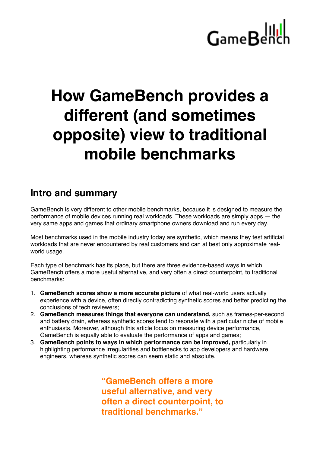### **How GameBench provides a different (and sometimes opposite) view to traditional mobile benchmarks**

#### **Intro and summary**

GameBench is very different to other mobile benchmarks, because it is designed to measure the performance of mobile devices running real workloads. These workloads are simply apps — the very same apps and games that ordinary smartphone owners download and run every day.

Most benchmarks used in the mobile industry today are synthetic, which means they test artificial workloads that are never encountered by real customers and can at best only approximate realworld usage.

Each type of benchmark has its place, but there are three evidence-based ways in which GameBench offers a more useful alternative, and very often a direct counterpoint, to traditional benchmarks:

- 1. **GameBench scores show a more accurate picture** of what real-world users actually experience with a device, often directly contradicting synthetic scores and better predicting the conclusions of tech reviewers;
- 2. **GameBench measures things that everyone can understand,** such as frames-per-second and battery drain, whereas synthetic scores tend to resonate with a particular niche of mobile enthusiasts. Moreover, although this article focus on measuring device performance, GameBench is equally able to evaluate the performance of apps and games;
- 3. **GameBench points to ways in which performance can be improved,** particularly in highlighting performance irregularities and bottlenecks to app developers and hardware engineers, whereas synthetic scores can seem static and absolute.

**"GameBench offers a more useful alternative, and very often a direct counterpoint, to traditional benchmarks."**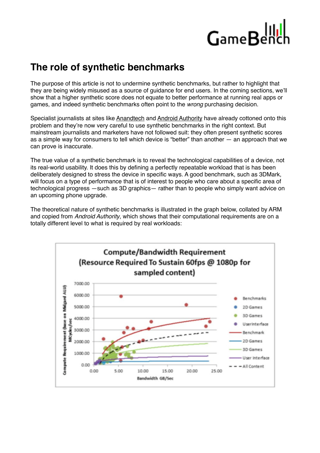#### **The role of synthetic benchmarks**

The purpose of this article is not to undermine synthetic benchmarks, but rather to highlight that they are being widely misused as a source of guidance for end users. In the coming sections, we'll show that a higher synthetic score does not equate to better performance at running real apps or games, and indeed synthetic benchmarks often point to the *wrong* purchasing decision.

Specialist journalists at sites like [Anandtech](http://www.anandtech.com/show/7384/state-of-cheating-in-android-benchmarks) and [Android Authority](http://www.androidauthority.com/beware-of-the-benchmarks-604989/) have already cottoned onto this problem and they're now very careful to use synthetic benchmarks in the right context. But mainstream journalists and marketers have not followed suit: they often present synthetic scores as a simple way for consumers to tell which device is "better" than another — an approach that we can prove is inaccurate.

The true value of a synthetic benchmark is to reveal the technological capabilities of a device, not its real-world usability. It does this by defining a perfectly repeatable workload that is has been deliberately designed to stress the device in specific ways. A good benchmark, such as 3DMark, will focus on a type of performance that is of interest to people who care about a specific area of technological progress —such as 3D graphics— rather than to people who simply want advice on an upcoming phone upgrade.

The theoretical nature of synthetic benchmarks is illustrated in the graph below, collated by ARM and copied from *Android Authority*, which shows that their computational requirements are on a totally different level to what is required by real workloads:

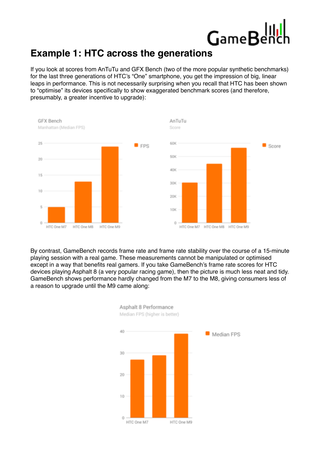#### **Example 1: HTC across the generations**

If you look at scores from AnTuTu and GFX Bench (two of the more popular synthetic benchmarks) for the last three generations of HTC's "One" smartphone, you get the impression of big, linear leaps in performance. This is not necessarily surprising when you recall that HTC has been shown to "optimise" its devices specifically to show exaggerated benchmark scores (and therefore, presumably, a greater incentive to upgrade):



By contrast, GameBench records frame rate and frame rate stability over the course of a 15-minute playing session with a real game. These measurements cannot be manipulated or optimised except in a way that benefits real gamers. If you take GameBench's frame rate scores for HTC devices playing Asphalt 8 (a very popular racing game), then the picture is much less neat and tidy. GameBench shows performance hardly changed from the M7 to the M8, giving consumers less of a reason to upgrade until the M9 came along:

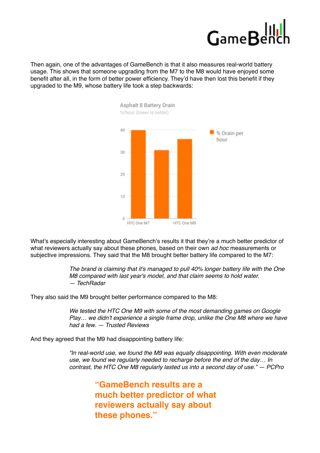

Then again, one of the advantages of GameBench is that it also measures real-world battery usage. This shows that someone upgrading from the M7 to the M8 would have enjoyed some benefit after all, in the form of better power efficiency. They'd have then lost this benefit if they upgraded to the M9, whose battery life took a step backwards:



What's especially interesting about GameBench's results it that they're a much better predictor of what reviewers actually say about these phones, based on their own *ad hoc* measurements or subjective impressions. They said that the M8 brought better battery life compared to the M7:

> *The brand is claiming that it's managed to pull 40% longer battery life with the One M8 compared with last year's model, and that claim seems to hold water. — TechRadar*

They also said the M9 brought better performance compared to the M8:

*We tested the HTC One M9 with some of the most demanding games on Google Play… we didn't experience a single frame drop, unlike the One M8 where we have had a few. — Trusted Reviews*

And they agreed that the M9 had disappointing battery life:

*"In real-world use, we found the M9 was equally disappointing. With even moderate use, we found we regularly needed to recharge before the end of the day… In contrast, the HTC One M8 regularly lasted us into a second day of use." — PCPro*

> **"GameBench results are a much better predictor of what reviewers actually say about these phones."**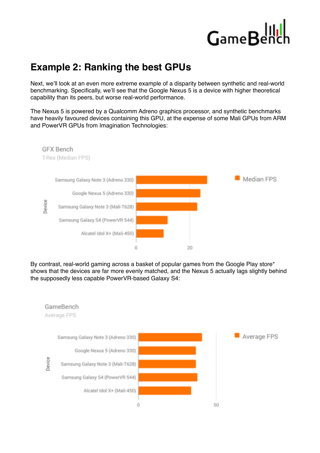#### **Example 2: Ranking the best GPUs**

Next, we'll look at an even more extreme example of a disparity between synthetic and real-world benchmarking. Specifically, we'll see that the Google Nexus 5 is a device with higher theoretical capability than its peers, but worse real-world performance.

The Nexus 5 is powered by a Qualcomm Adreno graphics processor, and synthetic benchmarks have heavily favoured devices containing this GPU, at the expense of some Mali GPUs from ARM and PowerVR GPUs from Imagination Technologies:



By contrast, real-world gaming across a basket of popular games from the Google Play store\* shows that the devices are far more evenly matched, and the Nexus 5 actually lags slightly behind the supposedly less capable PowerVR-based Galaxy S4:

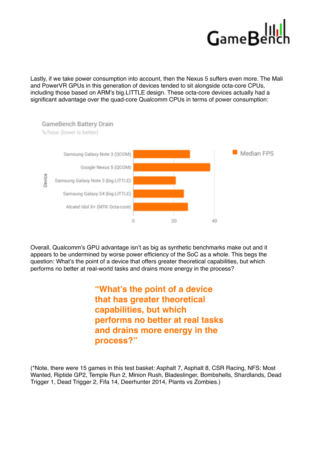Lastly, if we take power consumption into account, then the Nexus 5 suffers even more. The Mali and PowerVR GPUs in this generation of devices tended to sit alongside octa-core CPUs, including those based on ARM's big.LITTLE design. These octa-core devices actually had a significant advantage over the quad-core Qualcomm CPUs in terms of power consumption:



Overall, Qualcomm's GPU advantage isn't as big as synthetic benchmarks make out and it appears to be undermined by worse power efficiency of the SoC as a whole. This begs the question: What's the point of a device that offers greater theoretical capabilities, but which performs no better at real-world tasks and drains more energy in the process?

> **"What's the point of a device that has greater theoretical capabilities, but which performs no better at real tasks and drains more energy in the process?"**

(\*Note, there were 15 games in this test basket: Asphalt 7, Asphalt 8, CSR Racing, NFS: Most Wanted, Riptide GP2, Temple Run 2, Minion Rush, Bladeslinger, Bombshells, Shardlands, Dead Trigger 1, Dead Trigger 2, Fifa 14, Deerhunter 2014, Plants vs Zombies.)